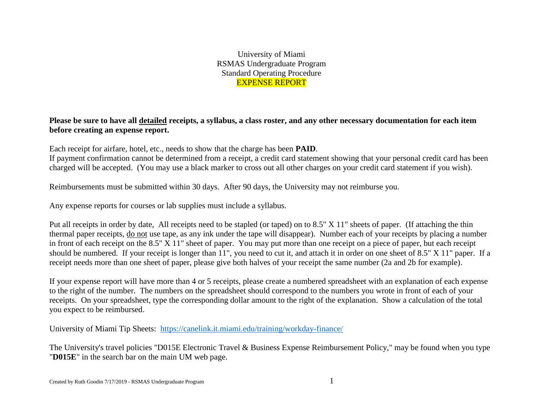University of Miami RSMAS Undergraduate Program Standard Operating Procedure EXPENSE REPORT

**Please be sure to have all detailed receipts, a syllabus, a class roster, and any other necessary documentation for each item before creating an expense report.**

Each receipt for airfare, hotel, etc., needs to show that the charge has been **PAID**.

If payment confirmation cannot be determined from a receipt, a credit card statement showing that your personal credit card has been charged will be accepted. (You may use a black marker to cross out all other charges on your credit card statement if you wish).

Reimbursements must be submitted within 30 days. After 90 days, the University may not reimburse you.

Any expense reports for courses or lab supplies must include a syllabus.

Put all receipts in order by date, All receipts need to be stapled (or taped) on to 8.5" X 11" sheets of paper. (If attaching the thin thermal paper receipts, do not use tape, as any ink under the tape will disappear). Number each of your receipts by placing a number in front of each receipt on the 8.5" X 11" sheet of paper. You may put more than one receipt on a piece of paper, but each receipt should be numbered. If your receipt is longer than 11", you need to cut it, and attach it in order on one sheet of 8.5" X 11" paper. If a receipt needs more than one sheet of paper, please give both halves of your receipt the same number (2a and 2b for example).

If your expense report will have more than 4 or 5 receipts, please create a numbered spreadsheet with an explanation of each expense to the right of the number. The numbers on the spreadsheet should correspond to the numbers you wrote in front of each of your receipts. On your spreadsheet, type the corresponding dollar amount to the right of the explanation. Show a calculation of the total you expect to be reimbursed.

University of Miami Tip Sheets: <https://canelink.it.miami.edu/training/workday-finance/>

The University's travel policies "D015E Electronic Travel & Business Expense Reimbursement Policy," may be found when you type "**D015E**" in the search bar on the main UM web page.